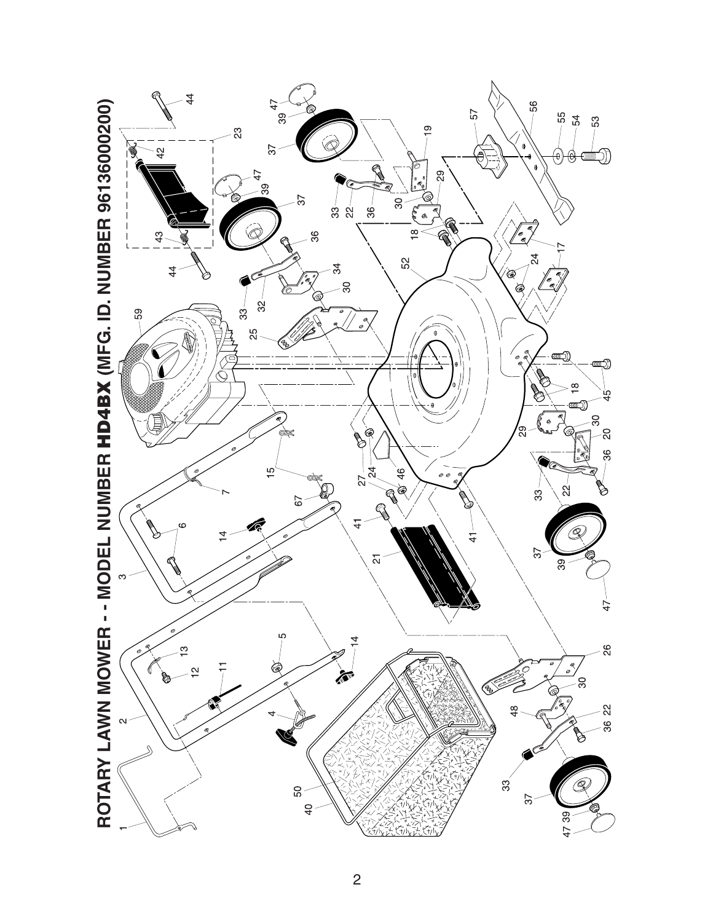